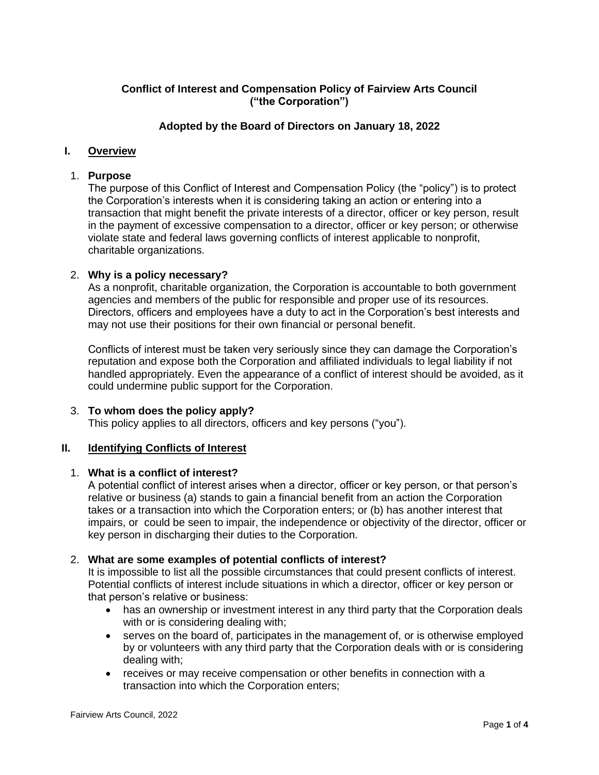# **Conflict of Interest and Compensation Policy of Fairview Arts Council ("the Corporation")**

## **Adopted by the Board of Directors on January 18, 2022**

# **I. Overview**

# 1. **Purpose**

The purpose of this Conflict of Interest and Compensation Policy (the "policy") is to protect the Corporation's interests when it is considering taking an action or entering into a transaction that might benefit the private interests of a director, officer or key person, result in the payment of excessive compensation to a director, officer or key person; or otherwise violate state and federal laws governing conflicts of interest applicable to nonprofit, charitable organizations.

#### 2. **Why is a policy necessary?**

As a nonprofit, charitable organization, the Corporation is accountable to both government agencies and members of the public for responsible and proper use of its resources. Directors, officers and employees have a duty to act in the Corporation's best interests and may not use their positions for their own financial or personal benefit.

Conflicts of interest must be taken very seriously since they can damage the Corporation's reputation and expose both the Corporation and affiliated individuals to legal liability if not handled appropriately. Even the appearance of a conflict of interest should be avoided, as it could undermine public support for the Corporation.

#### 3. **To whom does the policy apply?**

This policy applies to all directors, officers and key persons ("you").

# **II. Identifying Conflicts of Interest**

#### 1. **What is a conflict of interest?**

A potential conflict of interest arises when a director, officer or key person, or that person's relative or business (a) stands to gain a financial benefit from an action the Corporation takes or a transaction into which the Corporation enters; or (b) has another interest that impairs, or could be seen to impair, the independence or objectivity of the director, officer or key person in discharging their duties to the Corporation.

### 2. **What are some examples of potential conflicts of interest?**

It is impossible to list all the possible circumstances that could present conflicts of interest. Potential conflicts of interest include situations in which a director, officer or key person or that person's relative or business:

- has an ownership or investment interest in any third party that the Corporation deals with or is considering dealing with;
- serves on the board of, participates in the management of, or is otherwise employed by or volunteers with any third party that the Corporation deals with or is considering dealing with;
- receives or may receive compensation or other benefits in connection with a transaction into which the Corporation enters;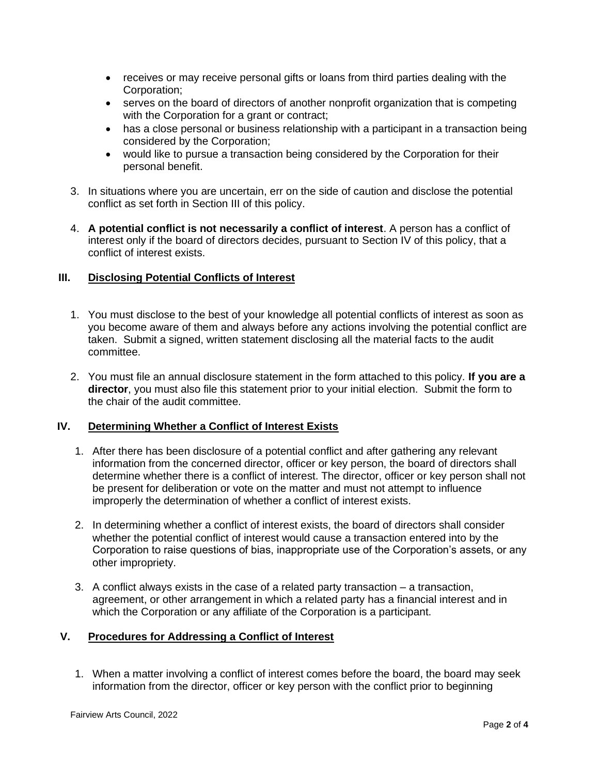- receives or may receive personal gifts or loans from third parties dealing with the Corporation;
- serves on the board of directors of another nonprofit organization that is competing with the Corporation for a grant or contract;
- has a close personal or business relationship with a participant in a transaction being considered by the Corporation;
- would like to pursue a transaction being considered by the Corporation for their personal benefit.
- 3. In situations where you are uncertain, err on the side of caution and disclose the potential conflict as set forth in Section III of this policy.
- 4. **A potential conflict is not necessarily a conflict of interest**. A person has a conflict of interest only if the board of directors decides, pursuant to Section IV of this policy, that a conflict of interest exists.

### **III. Disclosing Potential Conflicts of Interest**

- 1. You must disclose to the best of your knowledge all potential conflicts of interest as soon as you become aware of them and always before any actions involving the potential conflict are taken. Submit a signed, written statement disclosing all the material facts to the audit committee.
- 2. You must file an annual disclosure statement in the form attached to this policy. **If you are a director**, you must also file this statement prior to your initial election. Submit the form to the chair of the audit committee.

### **IV. Determining Whether a Conflict of Interest Exists**

- 1. After there has been disclosure of a potential conflict and after gathering any relevant information from the concerned director, officer or key person, the board of directors shall determine whether there is a conflict of interest. The director, officer or key person shall not be present for deliberation or vote on the matter and must not attempt to influence improperly the determination of whether a conflict of interest exists.
- 2. In determining whether a conflict of interest exists, the board of directors shall consider whether the potential conflict of interest would cause a transaction entered into by the Corporation to raise questions of bias, inappropriate use of the Corporation's assets, or any other impropriety.
- 3. A conflict always exists in the case of a related party transaction a transaction, agreement, or other arrangement in which a related party has a financial interest and in which the Corporation or any affiliate of the Corporation is a participant.

# **V. Procedures for Addressing a Conflict of Interest**

1. When a matter involving a conflict of interest comes before the board, the board may seek information from the director, officer or key person with the conflict prior to beginning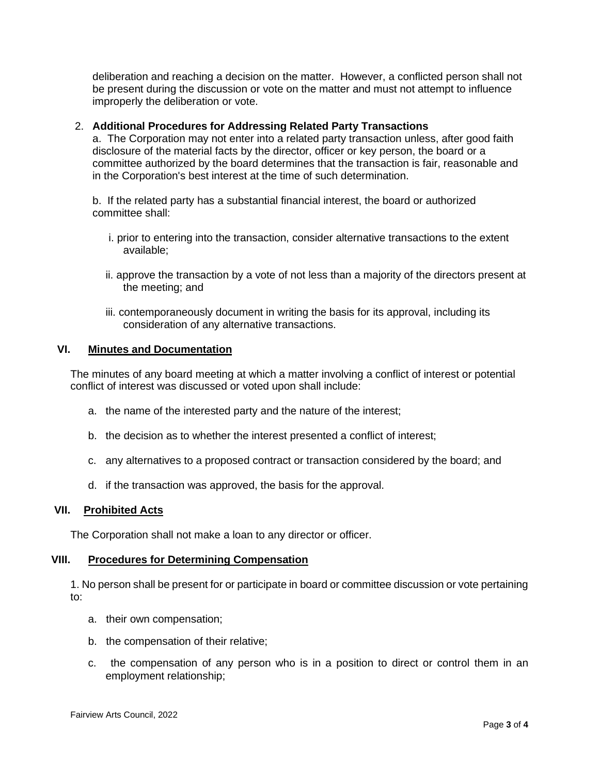deliberation and reaching a decision on the matter. However, a conflicted person shall not be present during the discussion or vote on the matter and must not attempt to influence improperly the deliberation or vote.

### 2. **Additional Procedures for Addressing Related Party Transactions**

a. The Corporation may not enter into a related party transaction unless, after good faith disclosure of the material facts by the director, officer or key person, the board or a committee authorized by the board determines that the transaction is fair, reasonable and in the Corporation's best interest at the time of such determination.

b. If the related party has a substantial financial interest, the board or authorized committee shall:

- i. prior to entering into the transaction, consider alternative transactions to the extent available;
- ii. approve the transaction by a vote of not less than a majority of the directors present at the meeting; and
- iii. contemporaneously document in writing the basis for its approval, including its consideration of any alternative transactions.

### **VI. Minutes and Documentation**

The minutes of any board meeting at which a matter involving a conflict of interest or potential conflict of interest was discussed or voted upon shall include:

- a. the name of the interested party and the nature of the interest;
- b. the decision as to whether the interest presented a conflict of interest;
- c. any alternatives to a proposed contract or transaction considered by the board; and
- d. if the transaction was approved, the basis for the approval.

#### **VII. Prohibited Acts**

The Corporation shall not make a loan to any director or officer.

## **VIII. Procedures for Determining Compensation**

1. No person shall be present for or participate in board or committee discussion or vote pertaining to:

- a. their own compensation;
- b. the compensation of their relative;
- c. the compensation of any person who is in a position to direct or control them in an employment relationship;